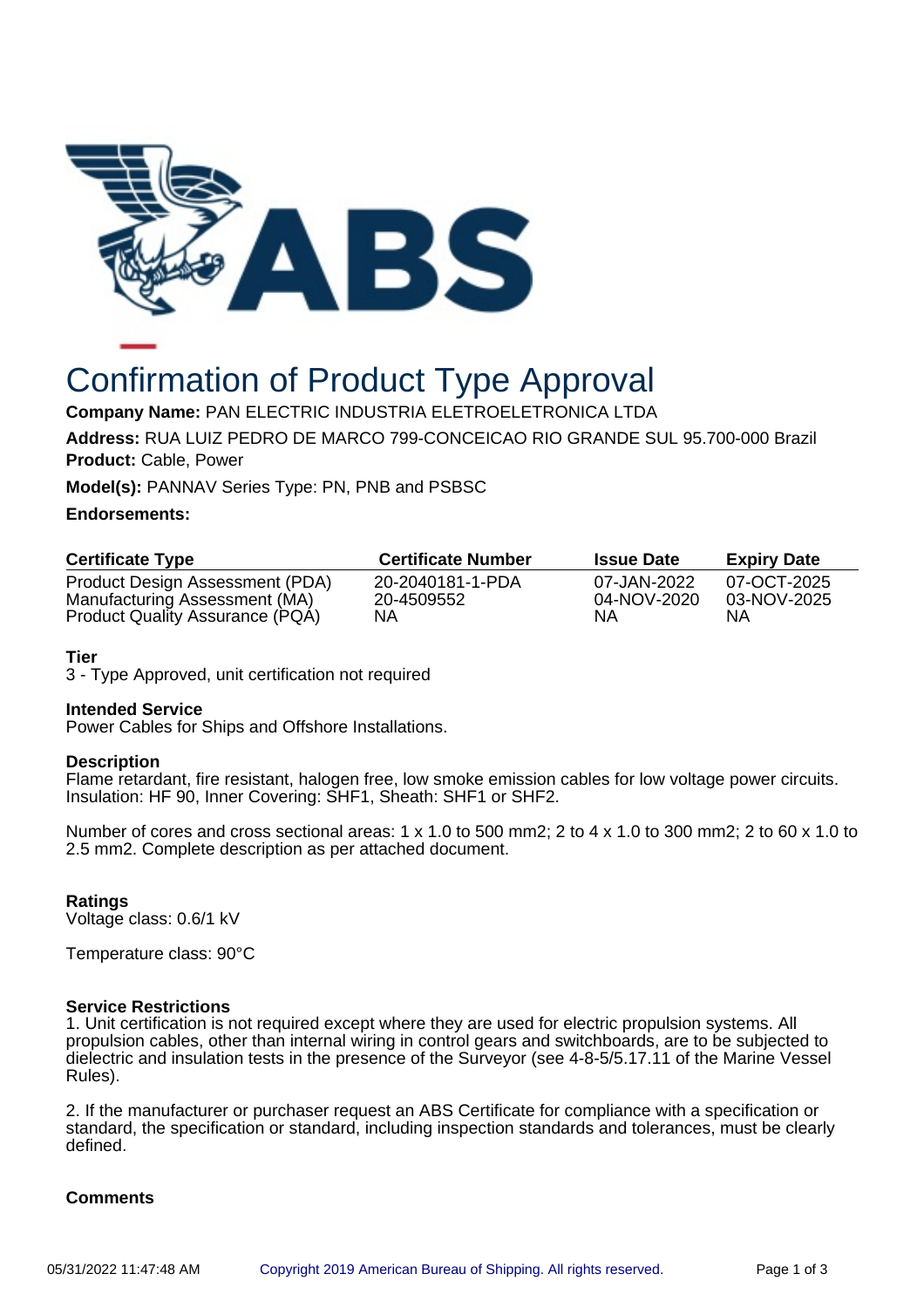

# Confirmation of Product Type Approval

**Company Name:** PAN ELECTRIC INDUSTRIA ELETROELETRONICA LTDA

**Address:** RUA LUIZ PEDRO DE MARCO 799-CONCEICAO RIO GRANDE SUL 95.700-000 Brazil **Product:** Cable, Power

**Model(s):** PANNAV Series Type: PN, PNB and PSBSC

## **Endorsements:**

| <b>Certificate Type</b>                                          | <b>Certificate Number</b>      | <b>Issue Date</b>          | <b>Expiry Date</b>         |
|------------------------------------------------------------------|--------------------------------|----------------------------|----------------------------|
| Product Design Assessment (PDA)<br>Manufacturing Assessment (MA) | 20-2040181-1-PDA<br>20-4509552 | 07-JAN-2022<br>04-NOV-2020 | 07-OCT-2025<br>03-NOV-2025 |
| Product Quality Assurance (PQA)                                  | NΑ                             | ΝA                         | ΝA                         |

## **Tier**

3 - Type Approved, unit certification not required

## **Intended Service**

Power Cables for Ships and Offshore Installations.

## **Description**

Flame retardant, fire resistant, halogen free, low smoke emission cables for low voltage power circuits. Insulation: HF 90, Inner Covering: SHF1, Sheath: SHF1 or SHF2.

Number of cores and cross sectional areas: 1 x 1.0 to 500 mm2; 2 to 4 x 1.0 to 300 mm2; 2 to 60 x 1.0 to 2.5 mm2. Complete description as per attached document.

## **Ratings**

Voltage class: 0.6/1 kV

Temperature class: 90°C

## **Service Restrictions**

1. Unit certification is not required except where they are used for electric propulsion systems. All propulsion cables, other than internal wiring in control gears and switchboards, are to be subjected to dielectric and insulation tests in the presence of the Surveyor (see 4-8-5/5.17.11 of the Marine Vessel Rules).

2. If the manufacturer or purchaser request an ABS Certificate for compliance with a specification or standard, the specification or standard, including inspection standards and tolerances, must be clearly defined.

## **Comments**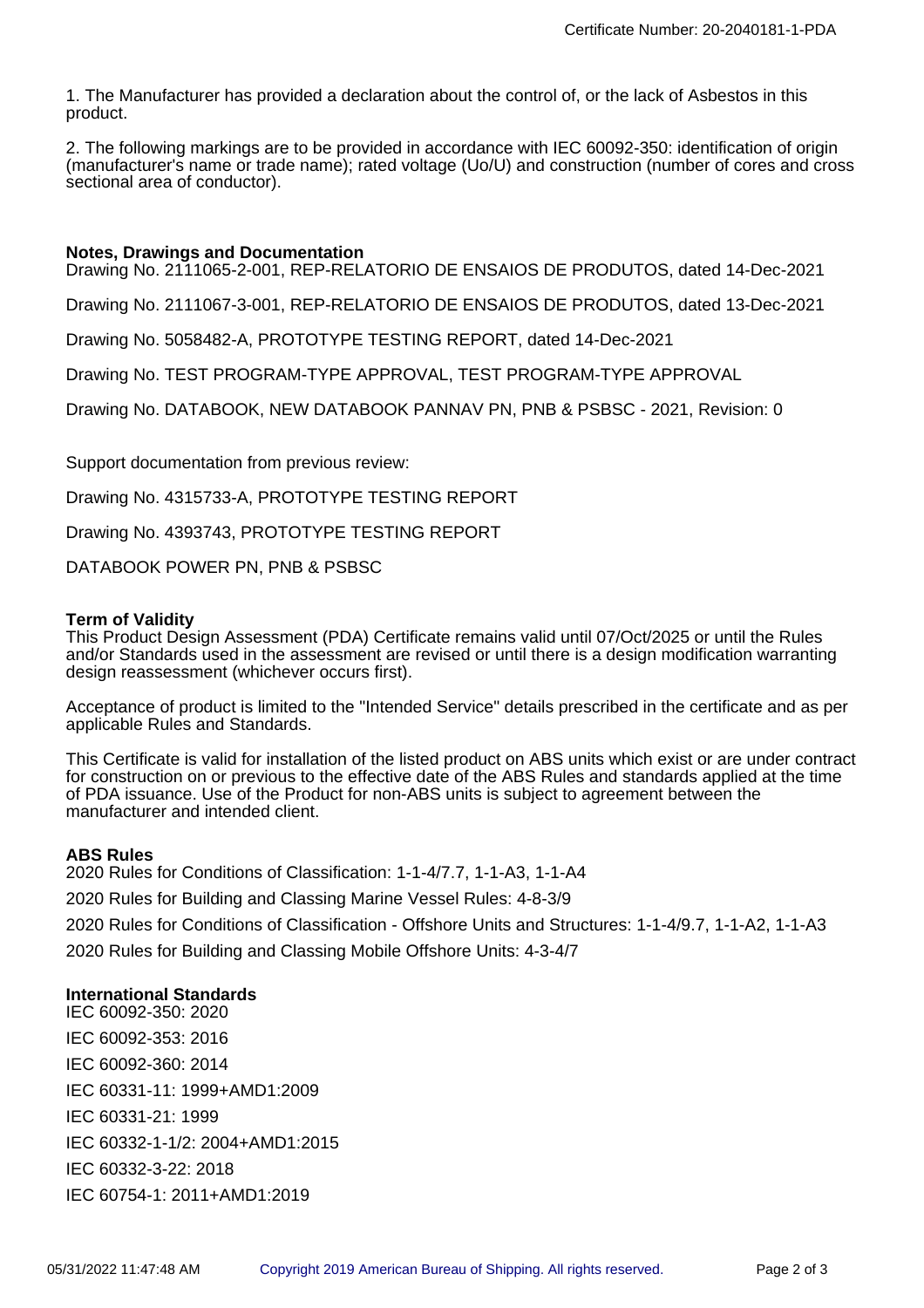1. The Manufacturer has provided a declaration about the control of, or the lack of Asbestos in this product.

2. The following markings are to be provided in accordance with IEC 60092-350: identification of origin (manufacturer's name or trade name); rated voltage (Uo/U) and construction (number of cores and cross sectional area of conductor).

#### **Notes, Drawings and Documentation**

Drawing No. 2111065-2-001, REP-RELATORIO DE ENSAIOS DE PRODUTOS, dated 14-Dec-2021

Drawing No. 2111067-3-001, REP-RELATORIO DE ENSAIOS DE PRODUTOS, dated 13-Dec-2021

Drawing No. 5058482-A, PROTOTYPE TESTING REPORT, dated 14-Dec-2021

Drawing No. TEST PROGRAM-TYPE APPROVAL, TEST PROGRAM-TYPE APPROVAL

Drawing No. DATABOOK, NEW DATABOOK PANNAV PN, PNB & PSBSC - 2021, Revision: 0

Support documentation from previous review:

Drawing No. 4315733-A, PROTOTYPE TESTING REPORT

Drawing No. 4393743, PROTOTYPE TESTING REPORT

DATABOOK POWER PN, PNB & PSBSC

#### **Term of Validity**

This Product Design Assessment (PDA) Certificate remains valid until 07/Oct/2025 or until the Rules and/or Standards used in the assessment are revised or until there is a design modification warranting design reassessment (whichever occurs first).

Acceptance of product is limited to the "Intended Service" details prescribed in the certificate and as per applicable Rules and Standards.

This Certificate is valid for installation of the listed product on ABS units which exist or are under contract for construction on or previous to the effective date of the ABS Rules and standards applied at the time of PDA issuance. Use of the Product for non-ABS units is subject to agreement between the manufacturer and intended client.

#### **ABS Rules**

2020 Rules for Conditions of Classification: 1-1-4/7.7, 1-1-A3, 1-1-A4 2020 Rules for Building and Classing Marine Vessel Rules: 4-8-3/9 2020 Rules for Conditions of Classification - Offshore Units and Structures: 1-1-4/9.7, 1-1-A2, 1-1-A3 2020 Rules for Building and Classing Mobile Offshore Units: 4-3-4/7

## **International Standards**

IEC 60092-350: 2020 IEC 60092-353: 2016 IEC 60092-360: 2014 IEC 60331-11: 1999+AMD1:2009 IEC 60331-21: 1999 IEC 60332-1-1/2: 2004+AMD1:2015 IEC 60332-3-22: 2018 IEC 60754-1: 2011+AMD1:2019